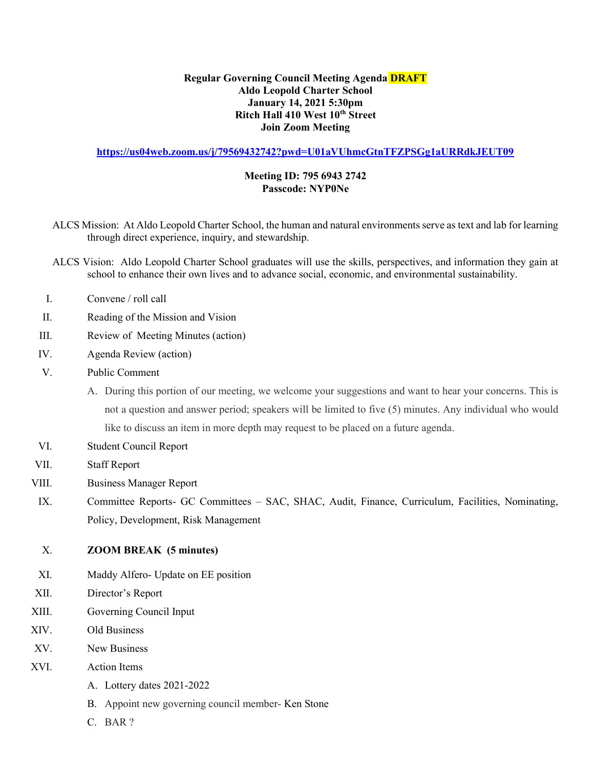## Regular Governing Council Meeting Agenda **DRAFT** Aldo Leopold Charter School January 14, 2021 5:30pm Ritch Hall 410 West 10<sup>th</sup> Street Join Zoom Meeting

https://us04web.zoom.us/j/79569432742?pwd=U01aVUhmcGtnTFZPSGg1aURRdkJEUT09

## Meeting ID: 795 6943 2742 Passcode: NYP0Ne

- ALCS Mission: At Aldo Leopold Charter School, the human and natural environments serve as text and lab for learning through direct experience, inquiry, and stewardship.
- ALCS Vision: Aldo Leopold Charter School graduates will use the skills, perspectives, and information they gain at school to enhance their own lives and to advance social, economic, and environmental sustainability.
- I. Convene / roll call
- II. Reading of the Mission and Vision
- III. Review of Meeting Minutes (action)
- IV. Agenda Review (action)
- V. Public Comment
	- A. During this portion of our meeting, we welcome your suggestions and want to hear your concerns. This is not a question and answer period; speakers will be limited to five (5) minutes. Any individual who would like to discuss an item in more depth may request to be placed on a future agenda.
- VI. Student Council Report
- VII. Staff Report
- VIII. Business Manager Report
- IX. Committee Reports- GC Committees SAC, SHAC, Audit, Finance, Curriculum, Facilities, Nominating, Policy, Development, Risk Management

## X. ZOOM BREAK (5 minutes)

- XI. Maddy Alfero- Update on EE position
- XII. Director's Report
- XIII. Governing Council Input
- XIV. Old Business
- XV. New Business
- XVI. Action Items
	- A. Lottery dates 2021-2022
	- B. Appoint new governing council member- Ken Stone
	- C. BAR ?